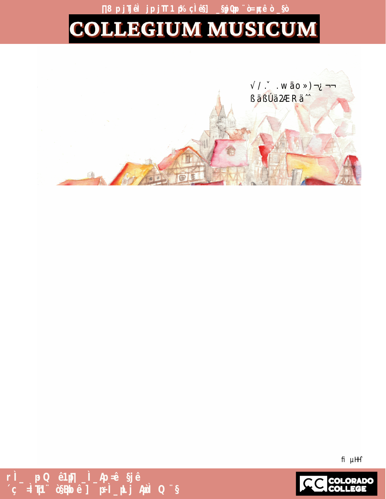# COLLEGIUM MUSICUM

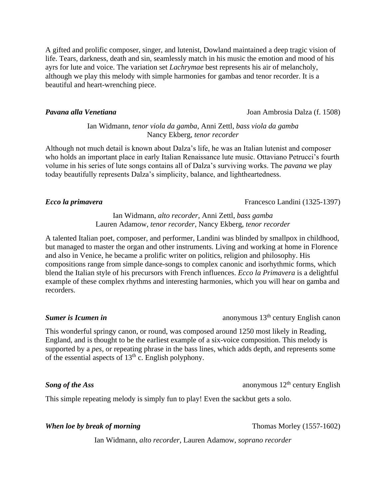A gifted and prolific composer, singer, and lutenist, Dowland maintained a deep tragic vision of life. Tears, darkness, death and sin, seamlessly match in his music the emotion and mood of his ayrs for lute and voice. The variation set *Lachrymae* best represents his air of melancholy, although we play this melody with simple harmonies for gambas and tenor recorder. It is a beautiful and heart-wrenching piece.

*Pavana alla Venetiana* Joan Ambrosia Dalza (f. 1508)

Ian Widmann, *tenor viola da gamba*, Anni Zettl, *bass viola da gamba* Nancy Ekberg, *tenor recorder*

Although not much detail is known about Dalza's life, he was an Italian lutenist and composer who holds an important place in early Italian Renaissance lute music. Ottaviano Petrucci's fourth volume in his series of lute songs contains all of Dalza's surviving works. The *pavana* we play today beautifully represents Dalza's simplicity, balance, and lightheartedness.

*Ecco la primavera* Francesco Landini (1325-1397)

Ian Widmann, *alto recorder*, Anni Zettl, *bass gamba* Lauren Adamow, *tenor recorder*, Nancy Ekberg, *tenor recorder*

A talented Italian poet, composer, and performer, Landini was blinded by smallpox in childhood, but managed to master the organ and other instruments. Living and working at home in Florence and also in Venice, he became a prolific writer on politics, religion and philosophy. His compositions range from simple dance-songs to complex canonic and isorhythmic forms, which blend the Italian style of his precursors with French influences. *Ecco la Primavera* is a delightful example of these complex rhythms and interesting harmonies, which you will hear on gamba and recorders.

**Sumer is Icumen in anonymous**  $13<sup>th</sup>$  century English canon

This wonderful springy canon, or round, was composed around 1250 most likely in Reading, England, and is thought to be the earliest example of a six-voice composition. This melody is supported by a *pes,* or repeating phrase in the bass lines, which adds depth, and represents some of the essential aspects of  $13<sup>th</sup>$  c. English polyphony.

**Song of the Ass** anonymous  $12<sup>th</sup>$  century English

This simple repeating melody is simply fun to play! Even the sackbut gets a solo.

*When loe by break of morning* Thomas Morley (1557-1602)

Ian Widmann, *alto recorder*, Lauren Adamow, *soprano recorder*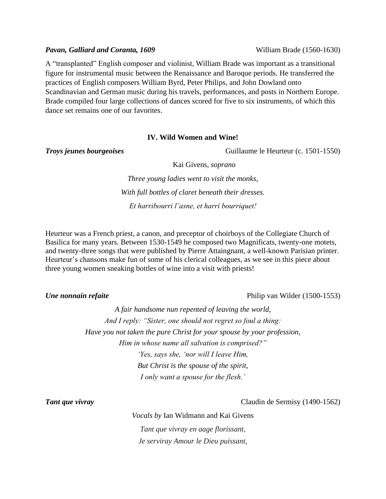# *Pavan, Galliard and Coranta, 1609* William Brade (1560-1630)

A "transplanted" English composer and violinist, William Brade was important as a transitional figure for instrumental music between the Renaissance and Baroque periods. He transferred the practices of English composers William Byrd, Peter Philips, and John Dowland onto Scandinavian and German music during his travels, performances, and posts in Northern Europe. Brade compiled four large collections of dances scored for five to six instruments, of which this dance set remains one of our favorites.

## **IV. Wild Women and Wine!**

*Troys jeunes bourgeoises* Guillaume le Heurteur (c. 1501-1550)

*Three young ladies went to visit the monks, With full bottles of claret beneath their dresses. Et harribourri l'asne, et harri bourriquet!*

Kai Givens, *soprano*

Heurteur was a French priest, a canon, and preceptor of choirboys of the Collegiate Church of Basilica for many years. Between 1530-1549 he composed two Magnificats, twenty-one motets, and twenty-three songs that were published by Pierre Attaingnant, a well-known Parisian printer. Heurteur's chansons make fun of some of his clerical colleagues, as we see in this piece about three young women sneaking bottles of wine into a visit with priests!

*Une nonnain refaite* Philip van Wilder (1500-1553)

*A fair handsome nun repented of leaving the world, And I reply: "Sister, one should not regret so foul a thing: Have you not taken the pure Christ for your spouse by your profession, Him in whose name all salvation is comprised?" 'Yes, says she, 'nor will I leave Him, But Christ is the spouse of the spirit, I only want a spouse for the flesh.'*

*Tant que vivray* Claudin de Sermisy (1490-1562)

*Vocals by* Ian Widmann and Kai Givens *Tant que vivray en aage florissant, Je serviray Amour le Dieu puissant,*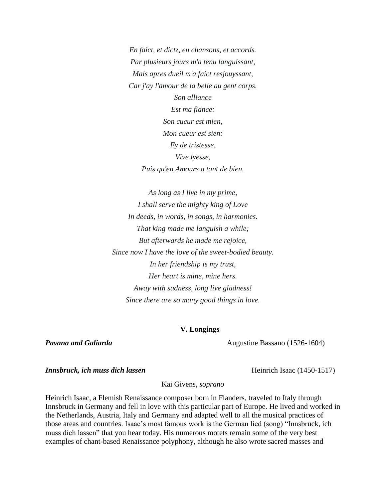*En faict, et dictz, en chansons, et accords. Par plusieurs jours m'a tenu languissant, Mais apres dueil m'a faict resjouyssant, Car j'ay l'amour de la belle au gent corps. Son alliance Est ma fiance: Son cueur est mien, Mon cueur est sien: Fy de tristesse, Vive lyesse, Puis qu'en Amours a tant de bien.*

*As long as I live in my prime, I shall serve the mighty king of Love In deeds, in words, in songs, in harmonies. That king made me languish a while; But afterwards he made me rejoice, Since now I have the love of the sweet-bodied beauty. In her friendship is my trust, Her heart is mine, mine hers. Away with sadness, long live gladness! Since there are so many good things in love.*

# **V. Longings**

*Pavana and Galiarda* **Augustine Bassano** (1526-1604)

*Innsbruck, ich muss dich lassen* Heinrich Isaac (1450-1517)

Kai Givens, *soprano*

Heinrich Isaac, a Flemish Renaissance composer born in Flanders, traveled to Italy through Innsbruck in Germany and fell in love with this particular part of Europe. He lived and worked in the Netherlands, Austria, Italy and Germany and adapted well to all the musical practices of those areas and countries. Isaac's most famous work is the German lied (song) "Innsbruck, ich muss dich lassen" that you hear today. His numerous motets remain some of the very best examples of chant-based Renaissance polyphony, although he also wrote sacred masses and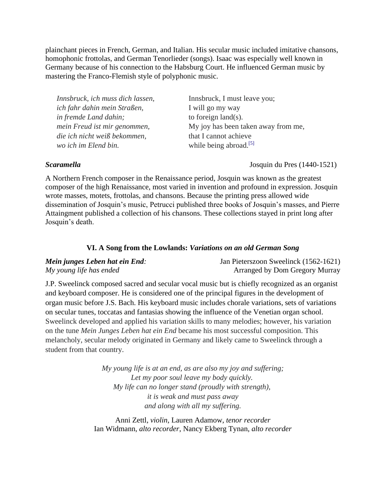plainchant pieces in French, German, and Italian. His secular music included imitative chansons, homophonic frottolas, and German Tenorlieder (songs). Isaac was especially well known in Germany because of his connection to the Habsburg Court. He influenced German music by mastering the Franco-Flemish style of polyphonic music.

| Innsbruck, ich muss dich lassen, | Innsbruck, I must leave you;        |
|----------------------------------|-------------------------------------|
| ich fahr dahin mein Straßen,     | I will go my way                    |
| in fremde Land dahin;            | to foreign $land(s)$ .              |
| mein Freud ist mir genommen,     | My joy has been taken away from me, |
| die ich nicht weiß bekommen,     | that I cannot achieve               |
| wo ich im Elend bin.             | while being abroad. <sup>[5]</sup>  |

*Scaramella* Josquin du Pres (1440-1521)

A Northern French composer in the Renaissance period, Josquin was known as the greatest composer of the high Renaissance, most varied in invention and profound in expression. Josquin wrote masses, motets, frottolas, and chansons. Because the printing press allowed wide dissemination of Josquin's music, Petrucci published three books of Josquin's masses, and Pierre Attaingment published a collection of his chansons. These collections stayed in print long after Josquin's death.

# **VI. A Song from the Lowlands:** *Variations on an old German Song*

*Mein junges Leben hat ein End*: Jan Pieterszoon Sweelinck (1562-1621) *My young life has ended* Arranged by Dom Gregory Murray

J.P. Sweelinck composed sacred and secular vocal music but is chiefly recognized as an organist and keyboard composer. He is considered one of the principal figures in the development of organ music before J.S. Bach. His keyboard music includes chorale variations, sets of variations on secular tunes, toccatas and fantasias showing the influence of the Venetian organ school. Sweelinck developed and applied his variation skills to many melodies; however, his variation on the tune *Mein Junges Leben hat ein End* became his most successful composition. This melancholy, secular melody originated in Germany and likely came to Sweelinck through a student from that country.

> *My young life is at an end, as are also my joy and suffering; Let my poor soul leave my body quickly. My life can no longer stand (proudly with strength), it is weak and must pass away and along with all my suffering.*

Anni Zettl, *violin*, Lauren Adamow, *tenor recorder* Ian Widmann, *alto recorder*, Nancy Ekberg Tynan, *alto recorder*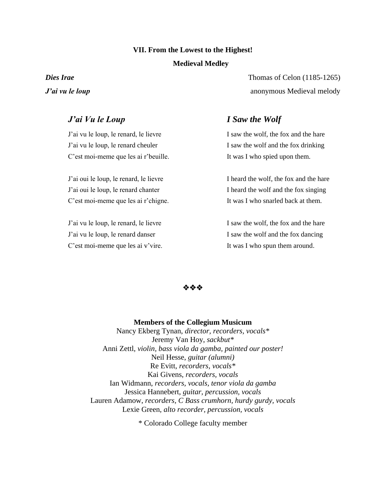# **VII. From the Lowest to the Highest! Medieval Medley**

# *J'ai Vu le Loup I Saw the Wolf*

J'ai vu le loup, le renard, le lievre I saw the wolf, the fox and the hare J'ai vu le loup, le renard cheuler I saw the wolf and the fox drinking C'est moi-meme que les ai r'beuille. It was I who spied upon them.

C'est moi-meme que les ai r'chigne. It was I who snarled back at them.

C'est moi-meme que les ai v'vire. It was I who spun them around.

**Dies Irae** Thomas of Celon (1185-1265) *J'ai vu le loup* anonymous Medieval melody

J'ai oui le loup, le renard, le lievre I heard the wolf, the fox and the hare J'ai oui le loup, le renard chanter I heard the wolf and the fox singing

J'ai vu le loup, le renard, le lievre I saw the wolf, the fox and the hare J'ai vu le loup, le renard danser I saw the wolf and the fox dancing

# ❖❖❖

# **Members of the Collegium Musicum**

Nancy Ekberg Tynan, *director, recorders, vocals\** Jeremy Van Hoy, *sackbut\** Anni Zettl, *violin, bass viola da gamba, painted our poster!* Neil Hesse, *guitar (alumni)* Re Evitt, *recorders, vocals\** Kai Givens, *recorders, vocals* Ian Widmann, *recorders, vocals, tenor viola da gamba* Jessica Hannebert, *guitar, percussion, vocals* Lauren Adamow, *recorders, C Bass crumhorn, hurdy gurdy, vocals* Lexie Green*, alto recorder, percussion, vocals*

\* Colorado College faculty member